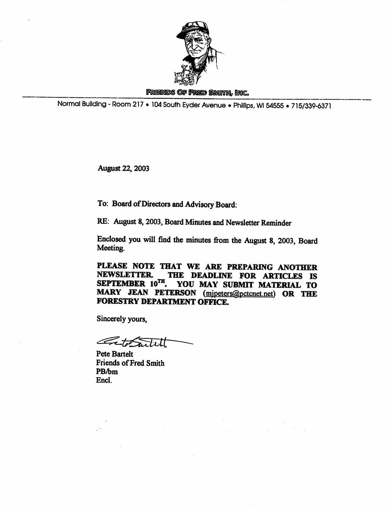

## FRIENDS OF FRED SMITH, INC.

Normal Building - Room 217 • 104 South Eyder Avenue • Phillips, Wl 54556 • 715/339-6371

August 22,2003

To: Board of Directors and Advisory Board:

RE: August 8,2003, Board Minutes and Newsletter Reminder

Enclosed you will find the minutes from the August 8, 2003, Board Meeting.

PLEASE NOTE THAT WE ARE PREPARING ANOTHER NEWSLETTER. THE DEADLINE FOR ARTICLES IS SEPTEMBER 10TH. YOU MAY SUBMIT MATERIAL TO MARY JEAN PETERSON (mjpeters@pctcnet.net) OR THE FORESTRY DEPARTMENT OFFICE.

Sincerely yours.

terrible

Pete Bartelt Friends of Fred Smith PB/bm Encl.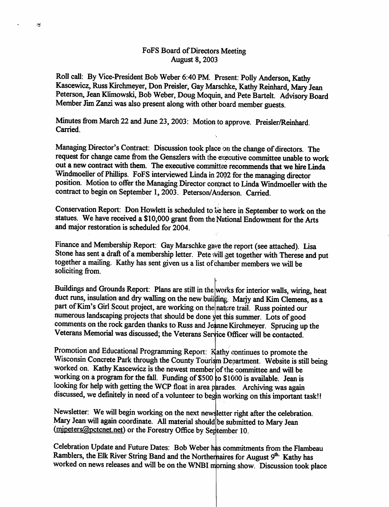## FoFS Board of Directors Meeting August 8,2003

 $\prec$ 

Roll call: By Vice-President Bob Weber 6:40 PM. Present: Polly Anderson, Kathy Kascewicz, Russ Kirchmeyer, Don Preisler, Gay Marschke, Kathy Reinhard, Mary Jean Peterson, Jean Klimowski, Bob Weber, Doug Moquin, and Pete Bartelt. Advisory Board Member Jim Zanzi was also present along with other board member guests.

Minutes from March 22 and June 23, 2003: Motion to approve. Preisler/Reinhard. Carried.

Managing Director's Contract: Discussion took place on the change of directors. The request for change came from the Genszlers with the executive committee unable to work out a new contract with them. The executive committee recommends that we hire Linda Windmoeller of Phillips. FoFS interviewed Linda in 2002 for the managing director position. Motion to offer the Managing Director contract to Linda Windmoeller with the contract to begin on September 1,2003. Peterson/Anderson. Carried.

Conservation Report: Don Howlett is scheduled to be here in September to work on the statues. We have received a \$10,000 grant from the National Endowment for the Arts and major restoration is scheduled for 2004.

Finance and Membership Report: Gay Marschke gave the report (see attached). Lisa Stone has sent a draft of a membership letter. Pete will get together with Therese and put together a mailing. Kathy has sent given us a list of chamber members we will be soliciting from.

Buildings and Grounds Report: Plans are still in the works for interior walls, wiring, heat duct runs, insulation and dry walling on the new building. Marjy and Kim Clemens, as a part of Kim's Girl Scout project, are working on the natire trail. Russ pointed our numerous landscaping projects that should be done yet this summer. Lots of good comments on the rock garden thanks to Russ and Jeanne Kirchmeyer. Sprucing up the Veterans Memorial was discussed; the Veterans Service Officer will be contacted.

Promotion and Educational Programming Report: Kathy continues to promote the Wisconsin Concrete Park through the County Tourism Department. Website is still being worked on. Kathy Kascewicz is the newest member of the committee and will be working on a program for the fall. Funding of \$500 to \$1000 is available. Jean is looking for help with getting the WCP float in area parades. Archiving was again discussed, we definitely in need of a volunteer to begin working on this important task!!

Newsletter: We will begin working on the next newsletter right after the celebration. Mary Jean will again coordinate. All material should be submitted to Mary Jean (mipeters@pctcnet.net) or the Forestry Office by September 10.

Celebration Update and Future Dates: Bob Weber has commitments from the Flambeau Ramblers, the Elk River String Band and the Northernaires for August 9<sup>th.</sup> Kathy has worked on news releases and will be on the WNBI morning show. Discussion took place